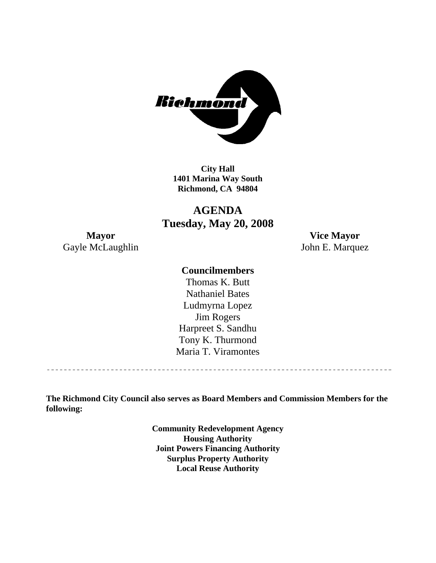

**City Hall 1401 Marina Way South Richmond, CA 94804** 

**AGENDA Tuesday, May 20, 2008** 

Gayle McLaughlin John E. Marquez

**Mayor Vice Mayor** 

#### **Councilmembers**

Harpreet S. Sandhu Tony K. Thurmond Maria T. Viramontes Thomas K. Butt Nathaniel Bates Ludmyrna Lopez Jim Rogers

**The Richmond City Council also serves as Board Members and Commission Members for the following:** 

> **Community Redevelopment Agency Housing Authority Joint Powers Financing Authority Surplus Property Authority Local Reuse Authority**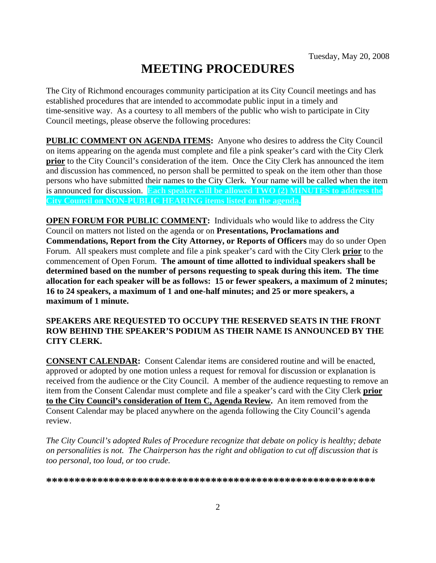# **MEETING PROCEDURES**

The City of Richmond encourages community participation at its City Council meetings and has established procedures that are intended to accommodate public input in a timely and time-sensitive way. As a courtesy to all members of the public who wish to participate in City Council meetings, please observe the following procedures:

**PUBLIC COMMENT ON AGENDA ITEMS:** Anyone who desires to address the City Council on items appearing on the agenda must complete and file a pink speaker's card with the City Clerk **prior** to the City Council's consideration of the item. Once the City Clerk has announced the item and discussion has commenced, no person shall be permitted to speak on the item other than those persons who have submitted their names to the City Clerk. Your name will be called when the item is announced for discussion. **Each speaker will be allowed TWO (2) MINUTES to address the City Council on NON-PUBLIC HEARING items listed on the agenda.** 

**OPEN FORUM FOR PUBLIC COMMENT:** Individuals who would like to address the City Council on matters not listed on the agenda or on **Presentations, Proclamations and Commendations, Report from the City Attorney, or Reports of Officers** may do so under Open Forum. All speakers must complete and file a pink speaker's card with the City Clerk **prior** to the commencement of Open Forum. **The amount of time allotted to individual speakers shall be determined based on the number of persons requesting to speak during this item. The time allocation for each speaker will be as follows: 15 or fewer speakers, a maximum of 2 minutes; 16 to 24 speakers, a maximum of 1 and one-half minutes; and 25 or more speakers, a maximum of 1 minute.** 

#### **SPEAKERS ARE REQUESTED TO OCCUPY THE RESERVED SEATS IN THE FRONT ROW BEHIND THE SPEAKER'S PODIUM AS THEIR NAME IS ANNOUNCED BY THE CITY CLERK.**

**CONSENT CALENDAR:** Consent Calendar items are considered routine and will be enacted, approved or adopted by one motion unless a request for removal for discussion or explanation is received from the audience or the City Council. A member of the audience requesting to remove an item from the Consent Calendar must complete and file a speaker's card with the City Clerk **prior to the City Council's consideration of Item C, Agenda Review.** An item removed from the Consent Calendar may be placed anywhere on the agenda following the City Council's agenda review.

*The City Council's adopted Rules of Procedure recognize that debate on policy is healthy; debate on personalities is not. The Chairperson has the right and obligation to cut off discussion that is too personal, too loud, or too crude.* 

**\*\*\*\*\*\*\*\*\*\*\*\*\*\*\*\*\*\*\*\*\*\*\*\*\*\*\*\*\*\*\*\*\*\*\*\*\*\*\*\*\*\*\*\*\*\*\*\*\*\*\*\*\*\*\*\*\*\***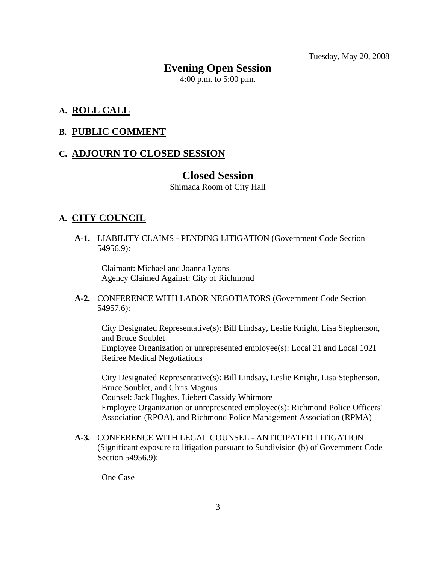Tuesday, May 20, 2008

#### **Evening Open Session**

4:00 p.m. to 5:00 p.m.

#### **A. ROLL CALL**

#### **B. PUBLIC COMMENT**

#### **C. ADJOURN TO CLOSED SESSION**

#### **Closed Session**

Shimada Room of City Hall

#### **A. CITY COUNCIL**

 **A-1.** LIABILITY CLAIMS - PENDING LITIGATION (Government Code Section 54956.9):

Claimant: Michael and Joanna Lyons Agency Claimed Against: City of Richmond

#### **A-2.** CONFERENCE WITH LABOR NEGOTIATORS (Government Code Section 54957.6):

City Designated Representative(s): Bill Lindsay, Leslie Knight, Lisa Stephenson, and Bruce Soublet Employee Organization or unrepresented employee(s): Local 21 and Local 1021 Retiree Medical Negotiations

City Designated Representative(s): Bill Lindsay, Leslie Knight, Lisa Stephenson, Bruce Soublet, and Chris Magnus Counsel: Jack Hughes, Liebert Cassidy Whitmore Employee Organization or unrepresented employee(s): Richmond Police Officers' Association (RPOA), and Richmond Police Management Association (RPMA)

 **A-3.** CONFERENCE WITH LEGAL COUNSEL - ANTICIPATED LITIGATION (Significant exposure to litigation pursuant to Subdivision (b) of Government Code Section 54956.9):

One Case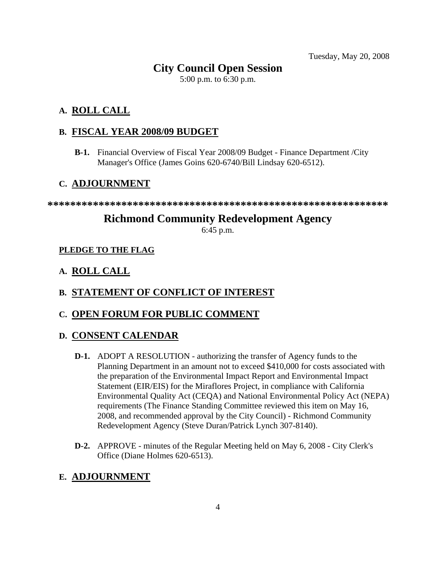Tuesday, May 20, 2008

# **City Council Open Session**

5:00 p.m. to 6:30 p.m.

### **A. ROLL CALL**

#### **B. FISCAL YEAR 2008/09 BUDGET**

 **B-1.** Financial Overview of Fiscal Year 2008/09 Budget - Finance Department /City Manager's Office (James Goins 620-6740/Bill Lindsay 620-6512).

#### **C. ADJOURNMENT**

**\*\*\*\*\*\*\*\*\*\*\*\*\*\*\*\*\*\*\*\*\*\*\*\*\*\*\*\*\*\*\*\*\*\*\*\*\*\*\*\*\*\*\*\*\*\*\*\*\*\*\*\*\*\*\*\*\*\*\*\*** 

## **Richmond Community Redevelopment Agency**

6:45 p.m.

#### **PLEDGE TO THE FLAG**

#### **A. ROLL CALL**

#### **B. STATEMENT OF CONFLICT OF INTEREST**

#### **C. OPEN FORUM FOR PUBLIC COMMENT**

#### **D. CONSENT CALENDAR**

- **D-1.** ADOPT A RESOLUTION authorizing the transfer of Agency funds to the Planning Department in an amount not to exceed \$410,000 for costs associated with the preparation of the Environmental Impact Report and Environmental Impact Statement (EIR/EIS) for the Miraflores Project, in compliance with California Environmental Quality Act (CEQA) and National Environmental Policy Act (NEPA) requirements (The Finance Standing Committee reviewed this item on May 16, 2008, and recommended approval by the City Council) - Richmond Community Redevelopment Agency (Steve Duran/Patrick Lynch 307-8140).
- **D-2.** APPROVE minutes of the Regular Meeting held on May 6, 2008 City Clerk's Office (Diane Holmes 620-6513).

#### **E. ADJOURNMENT**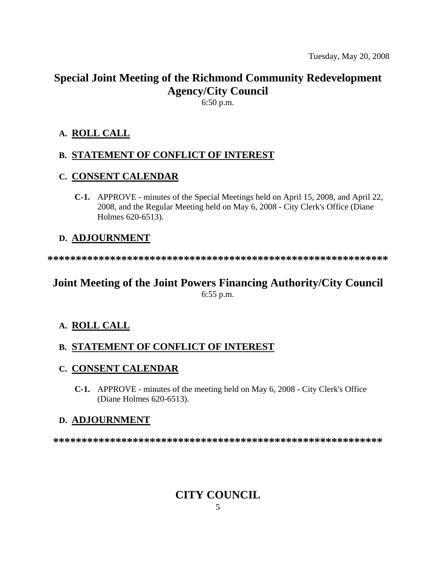# **Special Joint Meeting of the Richmond Community Redevelopment Agency/City Council**

6:50 p.m.

#### **A. ROLL CALL**

#### **B. STATEMENT OF CONFLICT OF INTEREST**

#### **C. CONSENT CALENDAR**

 **C-1.** APPROVE - minutes of the Special Meetings held on April 15, 2008, and April 22, 2008, and the Regular Meeting held on May 6, 2008 - City Clerk's Office (Diane Holmes 620-6513).

#### **D. ADJOURNMENT**

**\*\*\*\*\*\*\*\*\*\*\*\*\*\*\*\*\*\*\*\*\*\*\*\*\*\*\*\*\*\*\*\*\*\*\*\*\*\*\*\*\*\*\*\*\*\*\*\*\*\*\*\*\*\*\*\*\*\*\*\*** 

# **Joint Meeting of the Joint Powers Financing Authority/City Council**

6:55 p.m.

#### **A. ROLL CALL**

#### **B. STATEMENT OF CONFLICT OF INTEREST**

#### **C. CONSENT CALENDAR**

 **C-1.** APPROVE - minutes of the meeting held on May 6, 2008 - City Clerk's Office (Diane Holmes 620-6513).

#### **D. ADJOURNMENT**

**\*\*\*\*\*\*\*\*\*\*\*\*\*\*\*\*\*\*\*\*\*\*\*\*\*\*\*\*\*\*\*\*\*\*\*\*\*\*\*\*\*\*\*\*\*\*\*\*\*\*\*\*\*\*\*\*\*\*** 

# **CITY COUNCIL**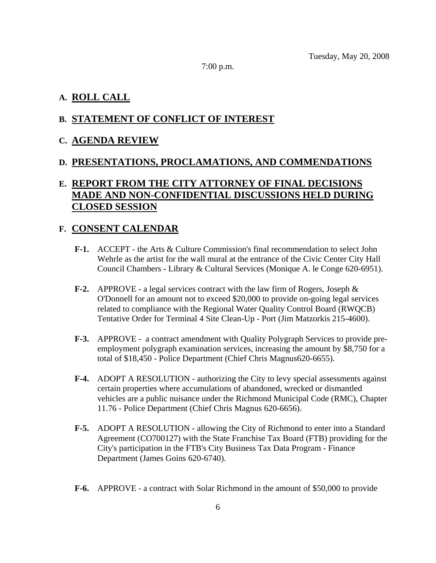7:00 p.m.

#### **A. ROLL CALL**

#### **B. STATEMENT OF CONFLICT OF INTEREST**

#### **C. AGENDA REVIEW**

#### **D. PRESENTATIONS, PROCLAMATIONS, AND COMMENDATIONS**

### **E. REPORT FROM THE CITY ATTORNEY OF FINAL DECISIONS MADE AND NON-CONFIDENTIAL DISCUSSIONS HELD DURING CLOSED SESSION**

#### **F. CONSENT CALENDAR**

- **F-1.** ACCEPT the Arts & Culture Commission's final recommendation to select John Wehrle as the artist for the wall mural at the entrance of the Civic Center City Hall Council Chambers - Library & Cultural Services (Monique A. le Conge 620-6951).
- **F-2.** APPROVE a legal services contract with the law firm of Rogers, Joseph & O'Donnell for an amount not to exceed \$20,000 to provide on-going legal services related to compliance with the Regional Water Quality Control Board (RWQCB) Tentative Order for Terminal 4 Site Clean-Up - Port (Jim Matzorkis 215-4600).
- **F-3.** APPROVE a contract amendment with Quality Polygraph Services to provide preemployment polygraph examination services, increasing the amount by \$8,750 for a total of \$18,450 - Police Department (Chief Chris Magnus620-6655).
- **F-4.** ADOPT A RESOLUTION authorizing the City to levy special assessments against certain properties where accumulations of abandoned, wrecked or dismantled vehicles are a public nuisance under the Richmond Municipal Code (RMC), Chapter 11.76 - Police Department (Chief Chris Magnus 620-6656).
- **F-5.** ADOPT A RESOLUTION allowing the City of Richmond to enter into a Standard Agreement (CO700127) with the State Franchise Tax Board (FTB) providing for the City's participation in the FTB's City Business Tax Data Program - Finance Department (James Goins 620-6740).
- **F-6.** APPROVE a contract with Solar Richmond in the amount of \$50,000 to provide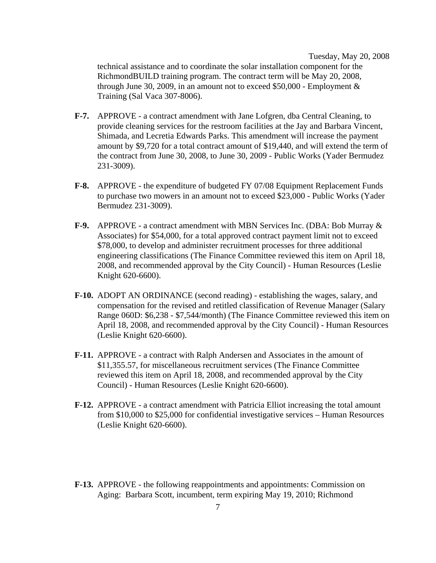Tuesday, May 20, 2008 technical assistance and to coordinate the solar installation component for the RichmondBUILD training program. The contract term will be May 20, 2008, through June 30, 2009, in an amount not to exceed \$50,000 - Employment & Training (Sal Vaca 307-8006).

- **F-7.** APPROVE a contract amendment with Jane Lofgren, dba Central Cleaning, to provide cleaning services for the restroom facilities at the Jay and Barbara Vincent, Shimada, and Lecretia Edwards Parks. This amendment will increase the payment amount by \$9,720 for a total contract amount of \$19,440, and will extend the term of the contract from June 30, 2008, to June 30, 2009 - Public Works (Yader Bermudez 231-3009).
- **F-8.** APPROVE the expenditure of budgeted FY 07/08 Equipment Replacement Funds to purchase two mowers in an amount not to exceed \$23,000 - Public Works (Yader Bermudez 231-3009).
- **F-9.** APPROVE a contract amendment with MBN Services Inc. (DBA: Bob Murray & Associates) for \$54,000, for a total approved contract payment limit not to exceed \$78,000, to develop and administer recruitment processes for three additional engineering classifications (The Finance Committee reviewed this item on April 18, 2008, and recommended approval by the City Council) - Human Resources (Leslie Knight 620-6600).
- **F-10.** ADOPT AN ORDINANCE (second reading) establishing the wages, salary, and compensation for the revised and retitled classification of Revenue Manager (Salary Range 060D: \$6,238 - \$7,544/month) (The Finance Committee reviewed this item on April 18, 2008, and recommended approval by the City Council) - Human Resources (Leslie Knight 620-6600).
- **F-11.** APPROVE a contract with Ralph Andersen and Associates in the amount of \$11,355.57, for miscellaneous recruitment services (The Finance Committee reviewed this item on April 18, 2008, and recommended approval by the City Council) - Human Resources (Leslie Knight 620-6600).
- **F-12.** APPROVE a contract amendment with Patricia Elliot increasing the total amount from \$10,000 to \$25,000 for confidential investigative services – Human Resources (Leslie Knight 620-6600).
- **F-13.** APPROVE the following reappointments and appointments: Commission on Aging: Barbara Scott, incumbent, term expiring May 19, 2010; Richmond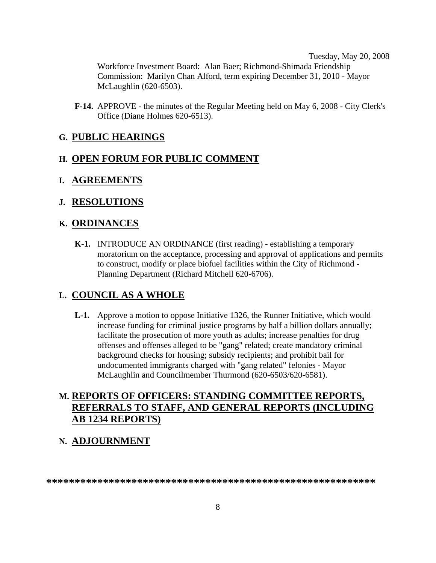Tuesday, May 20, 2008 Workforce Investment Board: Alan Baer; Richmond-Shimada Friendship Commission: Marilyn Chan Alford, term expiring December 31, 2010 - Mayor McLaughlin (620-6503).

 **F-14.** APPROVE - the minutes of the Regular Meeting held on May 6, 2008 - City Clerk's Office (Diane Holmes 620-6513).

#### **G. PUBLIC HEARINGS**

#### **H. OPEN FORUM FOR PUBLIC COMMENT**

- **I. AGREEMENTS**
- **J. RESOLUTIONS**

#### **K. ORDINANCES**

 **K-1.** INTRODUCE AN ORDINANCE (first reading) - establishing a temporary moratorium on the acceptance, processing and approval of applications and permits to construct, modify or place biofuel facilities within the City of Richmond - Planning Department (Richard Mitchell 620-6706).

#### **L. COUNCIL AS A WHOLE**

 **L-1.** Approve a motion to oppose Initiative 1326, the Runner Initiative, which would increase funding for criminal justice programs by half a billion dollars annually; facilitate the prosecution of more youth as adults; increase penalties for drug offenses and offenses alleged to be "gang" related; create mandatory criminal background checks for housing; subsidy recipients; and prohibit bail for undocumented immigrants charged with "gang related" felonies - Mayor McLaughlin and Councilmember Thurmond (620-6503/620-6581).

#### **M. REPORTS OF OFFICERS: STANDING COMMITTEE REPORTS, REFERRALS TO STAFF, AND GENERAL REPORTS (INCLUDING AB 1234 REPORTS)**

#### **N. ADJOURNMENT**

**\*\*\*\*\*\*\*\*\*\*\*\*\*\*\*\*\*\*\*\*\*\*\*\*\*\*\*\*\*\*\*\*\*\*\*\*\*\*\*\*\*\*\*\*\*\*\*\*\*\*\*\*\*\*\*\*\*\***